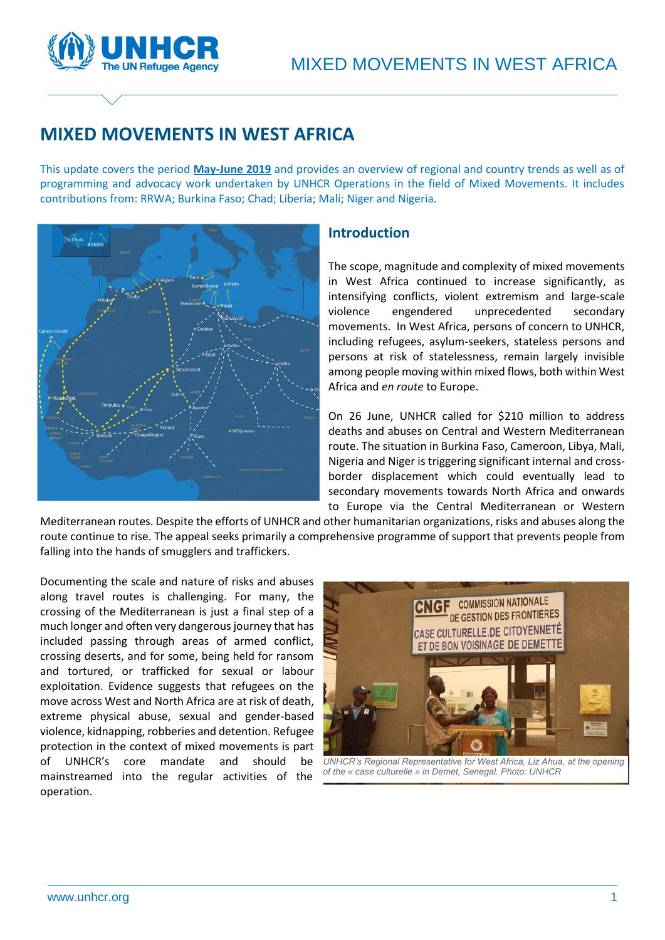

# **MIXED MOVEMENTS IN WEST AFRICA**

This update covers the period **May-June 2019** and provides an overview of regional and country trends as well as of programming and advocacy work undertaken by UNHCR Operations in the field of Mixed Movements. It includes contributions from: RRWA; Burkina Faso; Chad; Liberia; Mali; Niger and Nigeria.



# **Introduction**

The scope, magnitude and complexity of mixed movements in West Africa continued to increase significantly, as intensifying conflicts, violent extremism and large-scale violence engendered unprecedented secondary movements. In West Africa, persons of concern to UNHCR, including refugees, asylum-seekers, stateless persons and persons at risk of statelessness, remain largely invisible among people moving within mixed flows, both within West Africa and *en route* to Europe.

On 26 June, UNHCR called for \$210 million to address deaths and abuses on Central and Western Mediterranean route. The situation in Burkina Faso, Cameroon, Libya, Mali, Nigeria and Niger is triggering significant internal and crossborder displacement which could eventually lead to secondary movements towards North Africa and onwards to Europe via the Central Mediterranean or Western

Mediterranean routes. Despite the efforts of UNHCR and other humanitarian organizations, risks and abuses along the route continue to rise. The appeal seeks primarily a comprehensive programme of support that prevents people from falling into the hands of smugglers and traffickers.

Documenting the scale and nature of risks and abuses along travel routes is challenging. For many, the crossing of the Mediterranean is just a final step of a much longer and often very dangerous journey that has included passing through areas of armed conflict, crossing deserts, and for some, being held for ransom and tortured, or trafficked for sexual or labour exploitation. Evidence suggests that refugees on the move across West and North Africa are at risk of death, extreme physical abuse, sexual and gender-based violence, kidnapping, robberies and detention. Refugee protection in the context of mixed movements is part of UNHCR's core mandate and should be mainstreamed into the regular activities of the operation.



*UNHCR's Regional Representative for West Africa, Liz Ahua, at the opening of the « case culturelle » in Demet, Senegal. Photo: UNHCR*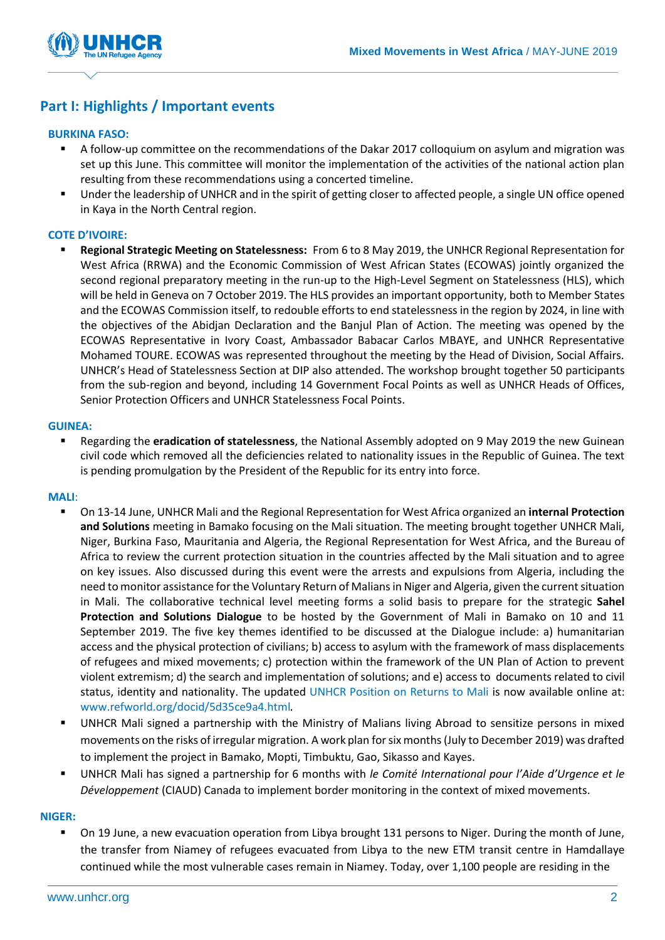

# **Part I: Highlights / Important events**

### **BURKINA FASO:**

- A follow-up committee on the recommendations of the Dakar 2017 colloquium on asylum and migration was set up this June. This committee will monitor the implementation of the activities of the national action plan resulting from these recommendations using a concerted timeline.
- Under the leadership of UNHCR and in the spirit of getting closer to affected people, a single UN office opened in Kaya in the North Central region.

### **COTE D'IVOIRE:**

▪ **Regional Strategic Meeting on Statelessness:** From 6 to 8 May 2019, the UNHCR Regional Representation for West Africa (RRWA) and the Economic Commission of West African States (ECOWAS) jointly organized the second regional preparatory meeting in the run-up to the High-Level Segment on Statelessness (HLS), which will be held in Geneva on 7 October 2019. The HLS provides an important opportunity, both to Member States and the ECOWAS Commission itself, to redouble efforts to end statelessness in the region by 2024, in line with the objectives of the Abidjan Declaration and the Banjul Plan of Action. The meeting was opened by the ECOWAS Representative in Ivory Coast, Ambassador Babacar Carlos MBAYE, and UNHCR Representative Mohamed TOURE. ECOWAS was represented throughout the meeting by the Head of Division, Social Affairs. UNHCR's Head of Statelessness Section at DIP also attended. The workshop brought together 50 participants from the sub-region and beyond, including 14 Government Focal Points as well as UNHCR Heads of Offices, Senior Protection Officers and UNHCR Statelessness Focal Points.

#### **GUINEA:**

▪ Regarding the **eradication of statelessness**, the National Assembly adopted on 9 May 2019 the new Guinean civil code which removed all the deficiencies related to nationality issues in the Republic of Guinea. The text is pending promulgation by the President of the Republic for its entry into force.

### **MALI**:

- On 13-14 June, UNHCR Mali and the Regional Representation for West Africa organized an **internal Protection and Solutions** meeting in Bamako focusing on the Mali situation. The meeting brought together UNHCR Mali, Niger, Burkina Faso, Mauritania and Algeria, the Regional Representation for West Africa, and the Bureau of Africa to review the current protection situation in the countries affected by the Mali situation and to agree on key issues. Also discussed during this event were the arrests and expulsions from Algeria, including the need to monitor assistance for the Voluntary Return of Malians in Niger and Algeria, given the current situation in Mali. The collaborative technical level meeting forms a solid basis to prepare for the strategic **Sahel Protection and Solutions Dialogue** to be hosted by the Government of Mali in Bamako on 10 and 11 September 2019. The five key themes identified to be discussed at the Dialogue include: a) humanitarian access and the physical protection of civilians; b) access to asylum with the framework of mass displacements of refugees and mixed movements; c) protection within the framework of the UN Plan of Action to prevent violent extremism; d) the search and implementation of solutions; and e) access to documents related to civil status, identity and nationality. The updated [UNHCR Position on Returns to Mali](http://www.refworld.org/docid/52cc405a4.html) is now available online at: [www.refworld.org/docid/5d35ce9a4.html](https://eur02.safelinks.protection.outlook.com/?url=http%3A%2F%2Fwww.refworld.org%2Fdocid%2F5d35ce9a4.html&data=02%7C01%7Cschwartz%40unhcr.org%7C1fe427916650416298a908d715ca3402%7Ce5c37981666441348a0c6543d2af80be%7C0%7C0%7C637001831952708295&sdata=FpHmTaxCWv7SqkauAksAghE6zJSFP%2F4DduWNSDv7w7I%3D&reserved=0).
- UNHCR Mali signed a partnership with the Ministry of Malians living Abroad to sensitize persons in mixed movements on the risks of irregular migration. A work plan for six months (July to December 2019) was drafted to implement the project in Bamako, Mopti, Timbuktu, Gao, Sikasso and Kayes.
- UNHCR Mali has signed a partnership for 6 months with *le Comité International pour l'Aide d'Urgence et le Développement* (CIAUD) Canada to implement border monitoring in the context of mixed movements.

### **NIGER:**

On 19 June, a new evacuation operation from Libya brought 131 persons to Niger. During the month of June, the transfer from Niamey of refugees evacuated from Libya to the new ETM transit centre in Hamdallaye continued while the most vulnerable cases remain in Niamey. Today, over 1,100 people are residing in the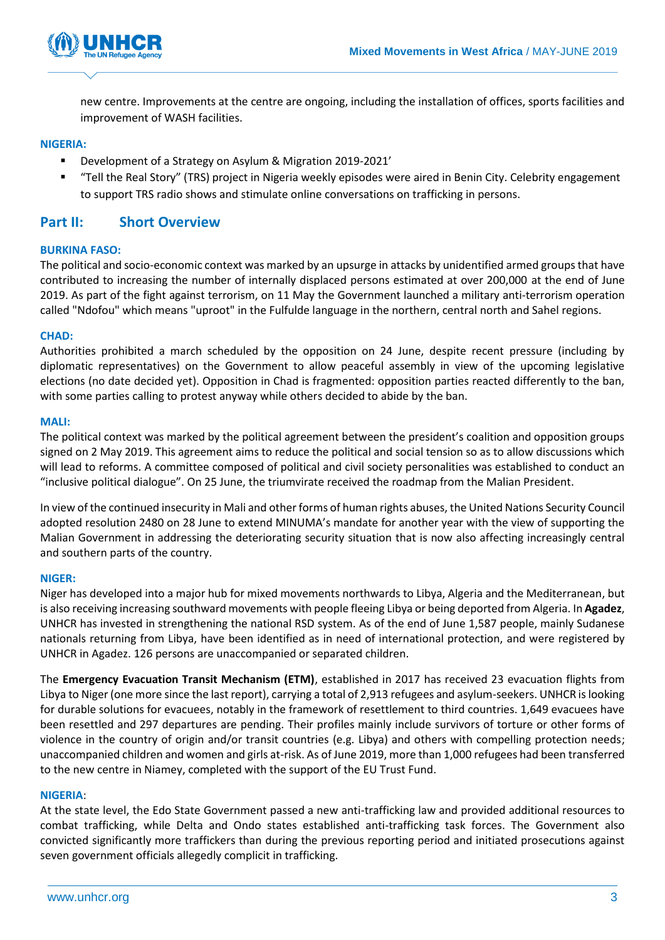

new centre. Improvements at the centre are ongoing, including the installation of offices, sports facilities and improvement of WASH facilities.

### **NIGERIA:**

- Development of a Strategy on Asylum & Migration 2019-2021'
- "Tell the Real Story" (TRS) project in Nigeria weekly episodes were aired in Benin City. Celebrity engagement to support TRS radio shows and stimulate online conversations on trafficking in persons.

# **Part II: Short Overview**

### **BURKINA FASO:**

The political and socio-economic context was marked by an upsurge in attacks by unidentified armed groups that have contributed to increasing the number of internally displaced persons estimated at over 200,000 at the end of June 2019. As part of the fight against terrorism, on 11 May the Government launched a military anti-terrorism operation called "Ndofou" which means "uproot" in the Fulfulde language in the northern, central north and Sahel regions.

### **CHAD:**

Authorities prohibited a march scheduled by the opposition on 24 June, despite recent pressure (including by diplomatic representatives) on the Government to allow peaceful assembly in view of the upcoming legislative elections (no date decided yet). Opposition in Chad is fragmented: opposition parties reacted differently to the ban, with some parties calling to protest anyway while others decided to abide by the ban.

### **MALI:**

The political context was marked by the political agreement between the president's coalition and opposition groups signed on 2 May 2019. This agreement aims to reduce the political and social tension so as to allow discussions which will lead to reforms. A committee composed of political and civil society personalities was established to conduct an "inclusive political dialogue". On 25 June, the triumvirate received the roadmap from the Malian President.

In view of the continued insecurity in Mali and other forms of human rights abuses, the United Nations Security Council adopted resolution 2480 on 28 June to extend MINUMA's mandate for another year with the view of supporting the Malian Government in addressing the deteriorating security situation that is now also affecting increasingly central and southern parts of the country.

### **NIGER:**

Niger has developed into a major hub for mixed movements northwards to Libya, Algeria and the Mediterranean, but is also receiving increasing southward movements with people fleeing Libya or being deported from Algeria. In **Agadez**, UNHCR has invested in strengthening the national RSD system. As of the end of June 1,587 people, mainly Sudanese nationals returning from Libya, have been identified as in need of international protection, and were registered by UNHCR in Agadez. 126 persons are unaccompanied or separated children.

The **Emergency Evacuation Transit Mechanism (ETM)**, established in 2017 has received 23 evacuation flights from Libya to Niger (one more since the last report), carrying a total of 2,913 refugees and asylum-seekers. UNHCR is looking for durable solutions for evacuees, notably in the framework of resettlement to third countries. 1,649 evacuees have been resettled and 297 departures are pending. Their profiles mainly include survivors of torture or other forms of violence in the country of origin and/or transit countries (e.g. Libya) and others with compelling protection needs; unaccompanied children and women and girls at-risk. As of June 2019, more than 1,000 refugees had been transferred to the new centre in Niamey, completed with the support of the EU Trust Fund.

### **NIGERIA**:

At the state level, the Edo State Government passed a new anti-trafficking law and provided additional resources to combat trafficking, while Delta and Ondo states established anti-trafficking task forces. The Government also convicted significantly more traffickers than during the previous reporting period and initiated prosecutions against seven government officials allegedly complicit in trafficking.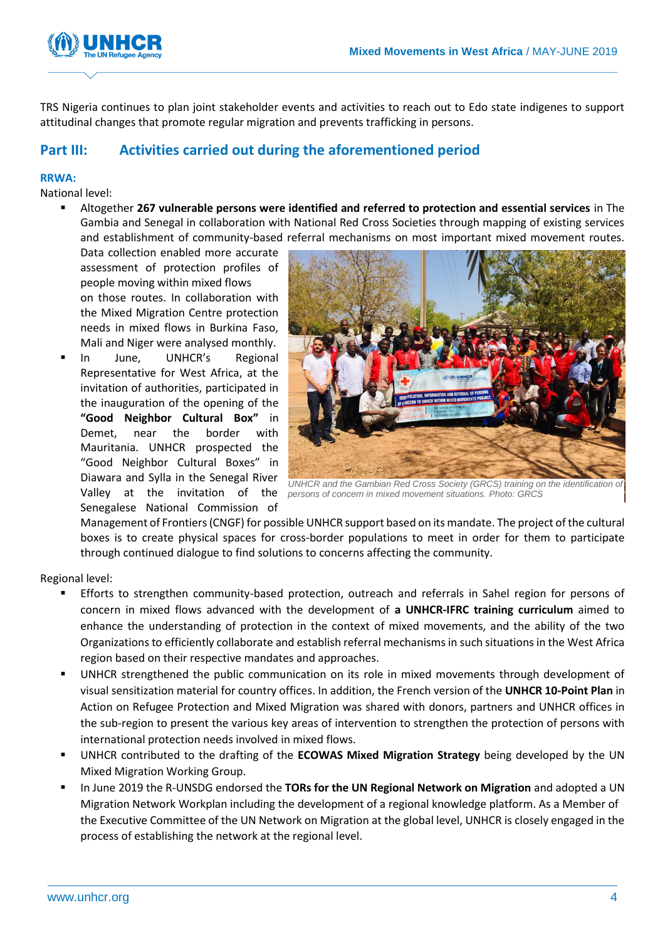

TRS Nigeria continues to plan joint stakeholder events and activities to reach out to Edo state indigenes to support attitudinal changes that promote regular migration and prevents trafficking in persons.

# **Part III: Activities carried out during the aforementioned period**

### **RRWA:**

National level:

▪ Altogether **267 vulnerable persons were identified and referred to protection and essential services** in The Gambia and Senegal in collaboration with National Red Cross Societies through mapping of existing services and establishment of community-based referral mechanisms on most important mixed movement routes.

Data collection enabled more accurate assessment of protection profiles of people moving within mixed flows on those routes. In collaboration with the Mixed Migration Centre protection needs in mixed flows in Burkina Faso, Mali and Niger were analysed monthly.

In June, UNHCR's Regional Representative for West Africa, at the invitation of authorities, participated in the inauguration of the opening of the **"Good Neighbor Cultural Box"** in Demet, near the border with Mauritania. UNHCR prospected the "Good Neighbor Cultural Boxes" in Diawara and Sylla in the Senegal River Senegalese National Commission of



Valley at the invitation of the *persons of concern in mixed movement situations. Photo: GRCS*UNHCR and the Gambian Red Cross Society (GRCS) training on the identification of

Management of Frontiers (CNGF) for possible UNHCR support based on its mandate. The project of the cultural boxes is to create physical spaces for cross-border populations to meet in order for them to participate through continued dialogue to find solutions to concerns affecting the community.

Regional level:

- Efforts to strengthen community-based protection, outreach and referrals in Sahel region for persons of concern in mixed flows advanced with the development of **a UNHCR-IFRC training curriculum** aimed to enhance the understanding of protection in the context of mixed movements, and the ability of the two Organizations to efficiently collaborate and establish referral mechanisms in such situations in the West Africa region based on their respective mandates and approaches.
- UNHCR strengthened the public communication on its role in mixed movements through development of visual sensitization material for country offices. In addition, the French version of the **UNHCR 10-Point Plan** in Action on Refugee Protection and Mixed Migration was shared with donors, partners and UNHCR offices in the sub-region to present the various key areas of intervention to strengthen the protection of persons with international protection needs involved in mixed flows.
- UNHCR contributed to the drafting of the **ECOWAS Mixed Migration Strategy** being developed by the UN Mixed Migration Working Group.
- In June 2019 the R-UNSDG endorsed the **TORs for the UN Regional Network on Migration** and adopted a UN Migration Network Workplan including the development of a regional knowledge platform. As a Member of the Executive Committee of the UN Network on Migration at the global level, UNHCR is closely engaged in the process of establishing the network at the regional level.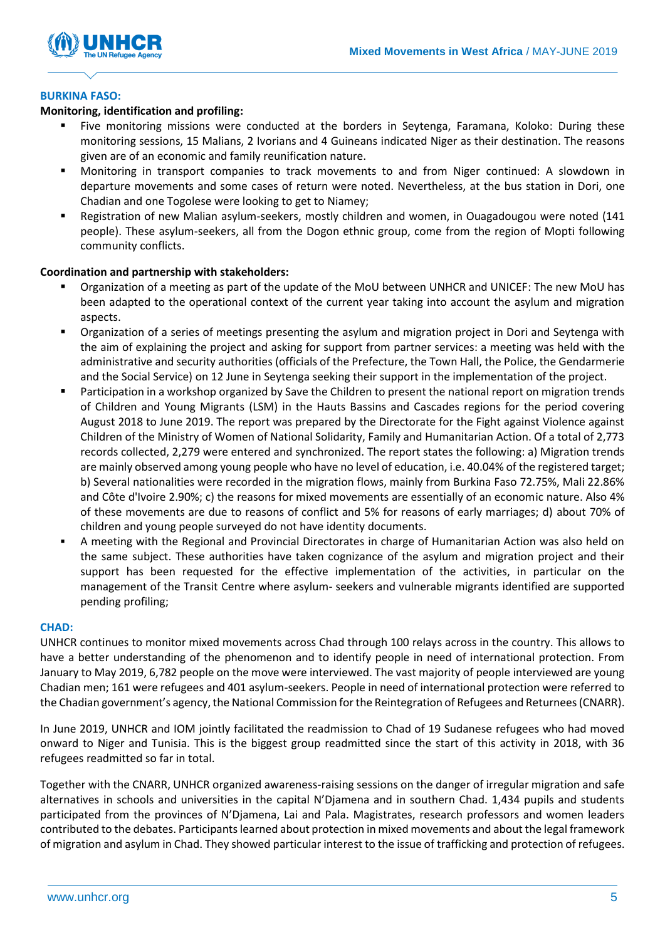

### **BURKINA FASO:**

### **Monitoring, identification and profiling:**

- Five monitoring missions were conducted at the borders in Seytenga, Faramana, Koloko: During these monitoring sessions, 15 Malians, 2 Ivorians and 4 Guineans indicated Niger as their destination. The reasons given are of an economic and family reunification nature.
- Monitoring in transport companies to track movements to and from Niger continued: A slowdown in departure movements and some cases of return were noted. Nevertheless, at the bus station in Dori, one Chadian and one Togolese were looking to get to Niamey;
- Registration of new Malian asylum-seekers, mostly children and women, in Ouagadougou were noted (141 people). These asylum-seekers, all from the Dogon ethnic group, come from the region of Mopti following community conflicts.

### **Coordination and partnership with stakeholders:**

- Organization of a meeting as part of the update of the MoU between UNHCR and UNICEF: The new MoU has been adapted to the operational context of the current year taking into account the asylum and migration aspects.
- Organization of a series of meetings presenting the asylum and migration project in Dori and Seytenga with the aim of explaining the project and asking for support from partner services: a meeting was held with the administrative and security authorities (officials of the Prefecture, the Town Hall, the Police, the Gendarmerie and the Social Service) on 12 June in Seytenga seeking their support in the implementation of the project.
- Participation in a workshop organized by Save the Children to present the national report on migration trends of Children and Young Migrants (LSM) in the Hauts Bassins and Cascades regions for the period covering August 2018 to June 2019. The report was prepared by the Directorate for the Fight against Violence against Children of the Ministry of Women of National Solidarity, Family and Humanitarian Action. Of a total of 2,773 records collected, 2,279 were entered and synchronized. The report states the following: a) Migration trends are mainly observed among young people who have no level of education, i.e. 40.04% of the registered target; b) Several nationalities were recorded in the migration flows, mainly from Burkina Faso 72.75%, Mali 22.86% and Côte d'Ivoire 2.90%; c) the reasons for mixed movements are essentially of an economic nature. Also 4% of these movements are due to reasons of conflict and 5% for reasons of early marriages; d) about 70% of children and young people surveyed do not have identity documents.
- A meeting with the Regional and Provincial Directorates in charge of Humanitarian Action was also held on the same subject. These authorities have taken cognizance of the asylum and migration project and their support has been requested for the effective implementation of the activities, in particular on the management of the Transit Centre where asylum- seekers and vulnerable migrants identified are supported pending profiling;

### **CHAD:**

UNHCR continues to monitor mixed movements across Chad through 100 relays across in the country. This allows to have a better understanding of the phenomenon and to identify people in need of international protection. From January to May 2019, 6,782 people on the move were interviewed. The vast majority of people interviewed are young Chadian men; 161 were refugees and 401 asylum-seekers. People in need of international protection were referred to the Chadian government's agency, the National Commission for the Reintegration of Refugees and Returnees (CNARR).

In June 2019, UNHCR and IOM jointly facilitated the readmission to Chad of 19 Sudanese refugees who had moved onward to Niger and Tunisia. This is the biggest group readmitted since the start of this activity in 2018, with 36 refugees readmitted so far in total.

Together with the CNARR, UNHCR organized awareness-raising sessions on the danger of irregular migration and safe alternatives in schools and universities in the capital N'Djamena and in southern Chad. 1,434 pupils and students participated from the provinces of N'Djamena, Lai and Pala. Magistrates, research professors and women leaders contributed to the debates. Participants learned about protection in mixed movements and about the legal framework of migration and asylum in Chad. They showed particular interest to the issue of trafficking and protection of refugees.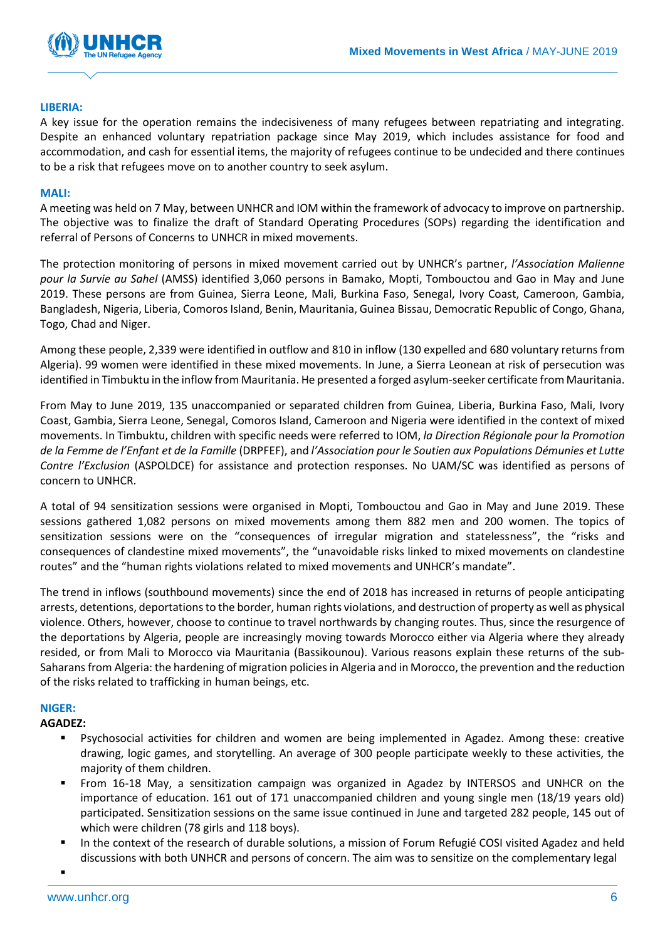

#### **LIBERIA:**

A key issue for the operation remains the indecisiveness of many refugees between repatriating and integrating. Despite an enhanced voluntary repatriation package since May 2019, which includes assistance for food and accommodation, and cash for essential items, the majority of refugees continue to be undecided and there continues to be a risk that refugees move on to another country to seek asylum.

#### **MALI:**

A meeting was held on 7 May, between UNHCR and IOM within the framework of advocacy to improve on partnership. The objective was to finalize the draft of Standard Operating Procedures (SOPs) regarding the identification and referral of Persons of Concerns to UNHCR in mixed movements.

The protection monitoring of persons in mixed movement carried out by UNHCR's partner, *l'Association Malienne pour la Survie au Sahel* (AMSS) identified 3,060 persons in Bamako, Mopti, Tombouctou and Gao in May and June 2019. These persons are from Guinea, Sierra Leone, Mali, Burkina Faso, Senegal, Ivory Coast, Cameroon, Gambia, Bangladesh, Nigeria, Liberia, Comoros Island, Benin, Mauritania, Guinea Bissau, Democratic Republic of Congo, Ghana, Togo, Chad and Niger.

Among these people, 2,339 were identified in outflow and 810 in inflow (130 expelled and 680 voluntary returns from Algeria). 99 women were identified in these mixed movements. In June, a Sierra Leonean at risk of persecution was identified in Timbuktu in the inflow from Mauritania. He presented a forged asylum-seeker certificate from Mauritania.

From May to June 2019, 135 unaccompanied or separated children from Guinea, Liberia, Burkina Faso, Mali, Ivory Coast, Gambia, Sierra Leone, Senegal, Comoros Island, Cameroon and Nigeria were identified in the context of mixed movements. In Timbuktu, children with specific needs were referred to IOM, *la Direction Régionale pour la Promotion de la Femme de l'Enfant et de la Famille* (DRPFEF), and *l'Association pour le Soutien aux Populations Démunies et Lutte Contre l'Exclusion* (ASPOLDCE) for assistance and protection responses. No UAM/SC was identified as persons of concern to UNHCR.

A total of 94 sensitization sessions were organised in Mopti, Tombouctou and Gao in May and June 2019. These sessions gathered 1,082 persons on mixed movements among them 882 men and 200 women. The topics of sensitization sessions were on the "consequences of irregular migration and statelessness", the "risks and consequences of clandestine mixed movements", the "unavoidable risks linked to mixed movements on clandestine routes" and the "human rights violations related to mixed movements and UNHCR's mandate".

The trend in inflows (southbound movements) since the end of 2018 has increased in returns of people anticipating arrests, detentions, deportations to the border, human rights violations, and destruction of property as well as physical violence. Others, however, choose to continue to travel northwards by changing routes. Thus, since the resurgence of the deportations by Algeria, people are increasingly moving towards Morocco either via Algeria where they already resided, or from Mali to Morocco via Mauritania (Bassikounou). Various reasons explain these returns of the sub-Saharans from Algeria: the hardening of migration policies in Algeria and in Morocco, the prevention and the reduction of the risks related to trafficking in human beings, etc.

### **NIGER:**

### **AGADEZ:**

- Psychosocial activities for children and women are being implemented in Agadez. Among these: creative drawing, logic games, and storytelling. An average of 300 people participate weekly to these activities, the majority of them children.
- From 16-18 May, a sensitization campaign was organized in Agadez by INTERSOS and UNHCR on the importance of education. 161 out of 171 unaccompanied children and young single men (18/19 years old) participated. Sensitization sessions on the same issue continued in June and targeted 282 people, 145 out of which were children (78 girls and 118 boys).
- In the context of the research of durable solutions, a mission of Forum Refugié COSI visited Agadez and held discussions with both UNHCR and persons of concern. The aim was to sensitize on the complementary legal

▪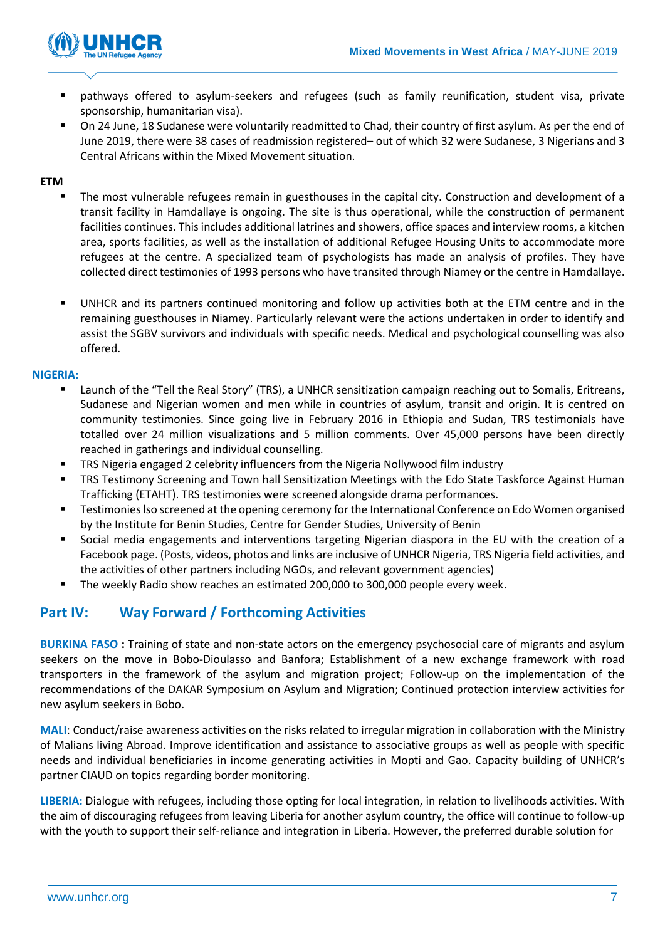

- pathways offered to asylum-seekers and refugees (such as family reunification, student visa, private sponsorship, humanitarian visa).
- On 24 June, 18 Sudanese were voluntarily readmitted to Chad, their country of first asylum. As per the end of June 2019, there were 38 cases of readmission registered– out of which 32 were Sudanese, 3 Nigerians and 3 Central Africans within the Mixed Movement situation.

### **ETM**

- The most vulnerable refugees remain in guesthouses in the capital city. Construction and development of a transit facility in Hamdallaye is ongoing. The site is thus operational, while the construction of permanent facilities continues. This includes additional latrines and showers, office spaces and interview rooms, a kitchen area, sports facilities, as well as the installation of additional Refugee Housing Units to accommodate more refugees at the centre. A specialized team of psychologists has made an analysis of profiles. They have collected direct testimonies of 1993 persons who have transited through Niamey or the centre in Hamdallaye.
- UNHCR and its partners continued monitoring and follow up activities both at the ETM centre and in the remaining guesthouses in Niamey. Particularly relevant were the actions undertaken in order to identify and assist the SGBV survivors and individuals with specific needs. Medical and psychological counselling was also offered.

### **NIGERIA:**

- Launch of the "Tell the Real Story" (TRS), a UNHCR sensitization campaign reaching out to Somalis, Eritreans, Sudanese and Nigerian women and men while in countries of asylum, transit and origin. It is centred on community testimonies. Since going live in February 2016 in Ethiopia and Sudan, TRS testimonials have totalled over 24 million visualizations and 5 million comments. Over 45,000 persons have been directly reached in gatherings and individual counselling.
- TRS Nigeria engaged 2 celebrity influencers from the Nigeria Nollywood film industry
- TRS Testimony Screening and Town hall Sensitization Meetings with the Edo State Taskforce Against Human Trafficking (ETAHT). TRS testimonies were screened alongside drama performances.
- Testimonies Iso screened at the opening ceremony for the International Conference on Edo Women organised by the Institute for Benin Studies, Centre for Gender Studies, University of Benin
- Social media engagements and interventions targeting Nigerian diaspora in the EU with the creation of a Facebook page. (Posts, videos, photos and links are inclusive of UNHCR Nigeria, TRS Nigeria field activities, and the activities of other partners including NGOs, and relevant government agencies)
- The weekly Radio show reaches an estimated 200,000 to 300,000 people every week.

# **Part IV: Way Forward / Forthcoming Activities**

**BURKINA FASO :** Training of state and non-state actors on the emergency psychosocial care of migrants and asylum seekers on the move in Bobo-Dioulasso and Banfora; Establishment of a new exchange framework with road transporters in the framework of the asylum and migration project; Follow-up on the implementation of the recommendations of the DAKAR Symposium on Asylum and Migration; Continued protection interview activities for new asylum seekers in Bobo.

**MALI**: Conduct/raise awareness activities on the risks related to irregular migration in collaboration with the Ministry of Malians living Abroad. Improve identification and assistance to associative groups as well as people with specific needs and individual beneficiaries in income generating activities in Mopti and Gao. Capacity building of UNHCR's partner CIAUD on topics regarding border monitoring.

**LIBERIA:** Dialogue with refugees, including those opting for local integration, in relation to livelihoods activities. With the aim of discouraging refugees from leaving Liberia for another asylum country, the office will continue to follow-up with the youth to support their self-reliance and integration in Liberia. However, the preferred durable solution for